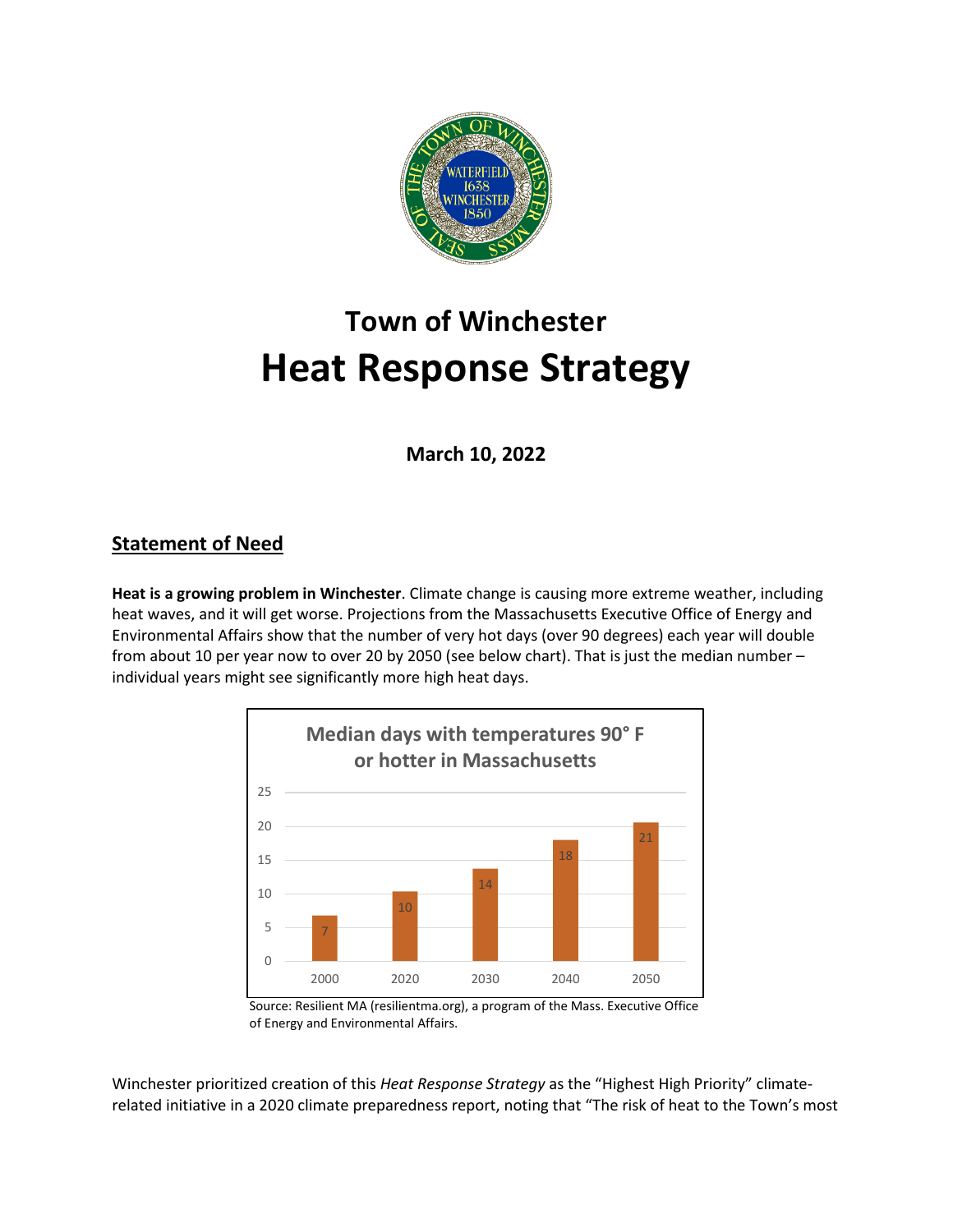

# **Town of Winchester Heat Response Strategy**

**March 10, 2022**

## **Statement of Need**

**Heat is a growing problem in Winchester**. Climate change is causing more extreme weather, including heat waves, and it will get worse. Projections from the Massachusetts Executive Office of Energy and Environmental Affairs show that the number of very hot days (over 90 degrees) each year will double from about 10 per year now to over 20 by 2050 (see below chart). That is just the median number – individual years might see significantly more high heat days.



 Source: Resilient MA (resilientma.org), a program of the Mass. Executive Office of Energy and Environmental Affairs.

Winchester prioritized creation of this *Heat Response Strategy* as the "Highest High Priority" climaterelated initiative in a 2020 climate preparedness report, noting that "The risk of heat to the Town's most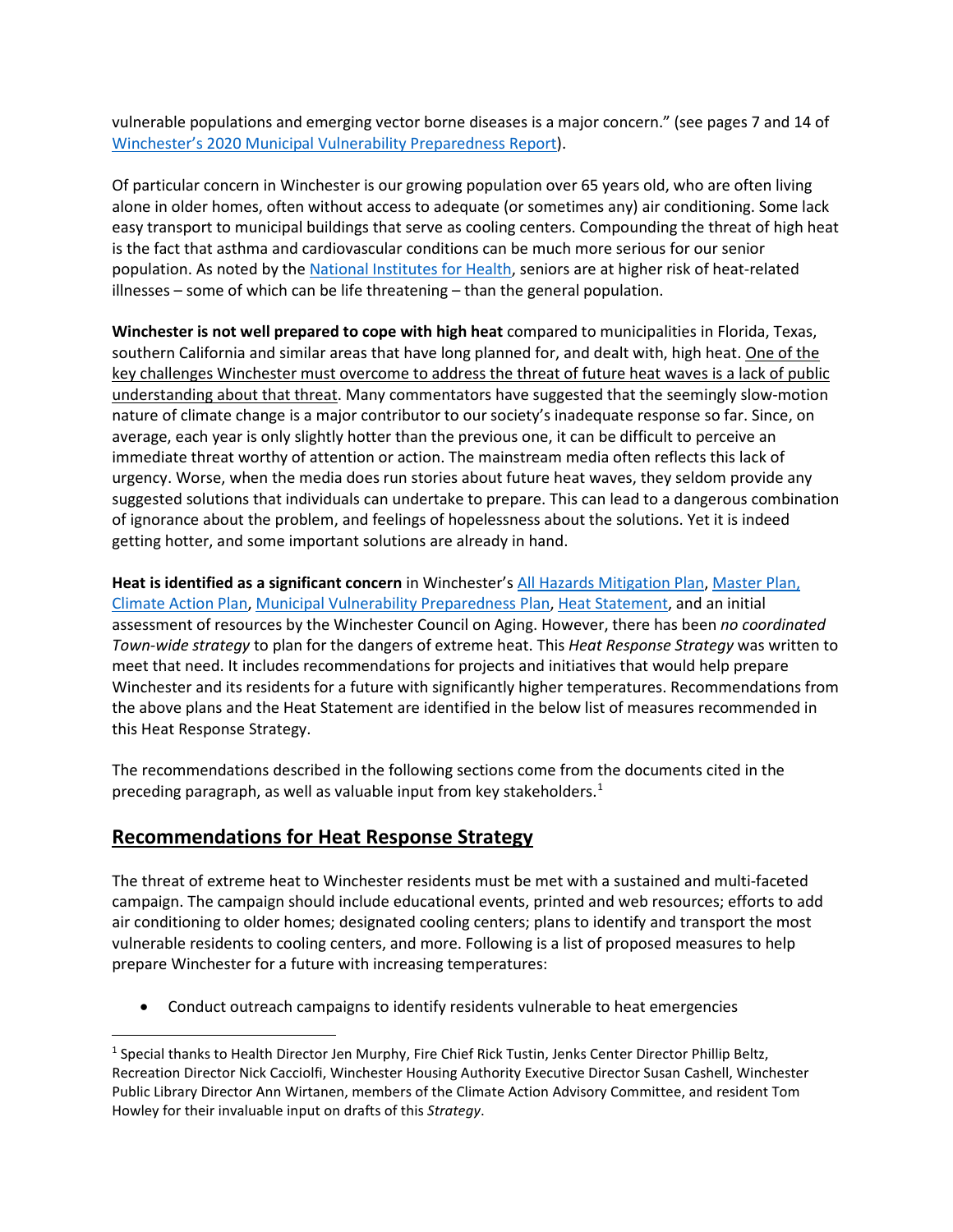vulnerable populations and emerging vector borne diseases is a major concern." (see pages 7 and 14 of [Winchester's 2020 Municipal Vulnerability Preparedness](https://www.winchester.us/DocumentCenter/View/4251/Winchester-Municipal-Vulnerability-Preparedness-Plan-2020?bidId=) Report).

Of particular concern in Winchester is our growing population over 65 years old, who are often living alone in older homes, often without access to adequate (or sometimes any) air conditioning. Some lack easy transport to municipal buildings that serve as cooling centers. Compounding the threat of high heat is the fact that asthma and cardiovascular conditions can be much more serious for our senior population. As noted by the [National Institutes for Health,](https://www.nih.gov/news-events/news-releases/heat-related-health-dangers-older-adults-soar-during-summer) seniors are at higher risk of heat-related illnesses – some of which can be life threatening – than the general population.

**Winchester is not well prepared to cope with high heat** compared to municipalities in Florida, Texas, southern California and similar areas that have long planned for, and dealt with, high heat. One of the key challenges Winchester must overcome to address the threat of future heat waves is a lack of public understanding about that threat. Many commentators have suggested that the seemingly slow-motion nature of climate change is a major contributor to our society's inadequate response so far. Since, on average, each year is only slightly hotter than the previous one, it can be difficult to perceive an immediate threat worthy of attention or action. The mainstream media often reflects this lack of urgency. Worse, when the media does run stories about future heat waves, they seldom provide any suggested solutions that individuals can undertake to prepare. This can lead to a dangerous combination of ignorance about the problem, and feelings of hopelessness about the solutions. Yet it is indeed getting hotter, and some important solutions are already in hand.

**Heat is identified as a significant concern** in Winchester's [All Hazards Mitigation Plan,](https://www.winchester.us/DocumentCenter/View/2209/All-Hazards-Mitigation-Plan---Winchester---2016-04-25?bidId=) [Master](https://www.winchester.us/DocumentCenter/View/4614/Winchester-Master-Plan-Action-Plan---Adopted-March-24-2020) Plan, [Climate Action Plan,](https://www.winchester.us/DocumentCenter/View/4633/Climate-Action-Plan-2020) [Municipal Vulnerability Preparedness Plan,](https://www.winchester.us/DocumentCenter/View/4251/Winchester-Municipal-Vulnerability-Preparedness-Plan-2020) [Heat Statement,](https://www.winchester.us/DocumentCenter/View/6376/Heat-Statement-v4) and an initial assessment of resources by the Winchester Council on Aging. However, there has been *no coordinated Town-wide strategy* to plan for the dangers of extreme heat. This *Heat Response Strategy* was written to meet that need. It includes recommendations for projects and initiatives that would help prepare Winchester and its residents for a future with significantly higher temperatures. Recommendations from the above plans and the Heat Statement are identified in the below list of measures recommended in this Heat Response Strategy.

The recommendations described in the following sections come from the documents cited in the preceding paragraph, as well as valuable input from key stakeholders.<sup>[1](#page-1-0)</sup>

### **Recommendations for Heat Response Strategy**

l

The threat of extreme heat to Winchester residents must be met with a sustained and multi-faceted campaign. The campaign should include educational events, printed and web resources; efforts to add air conditioning to older homes; designated cooling centers; plans to identify and transport the most vulnerable residents to cooling centers, and more. Following is a list of proposed measures to help prepare Winchester for a future with increasing temperatures:

• Conduct outreach campaigns to identify residents vulnerable to heat emergencies

<span id="page-1-0"></span><sup>1</sup> Special thanks to Health Director Jen Murphy, Fire Chief Rick Tustin, Jenks Center Director Phillip Beltz, Recreation Director Nick Cacciolfi, Winchester Housing Authority Executive Director Susan Cashell, Winchester Public Library Director Ann Wirtanen, members of the Climate Action Advisory Committee, and resident Tom Howley for their invaluable input on drafts of this *Strategy*.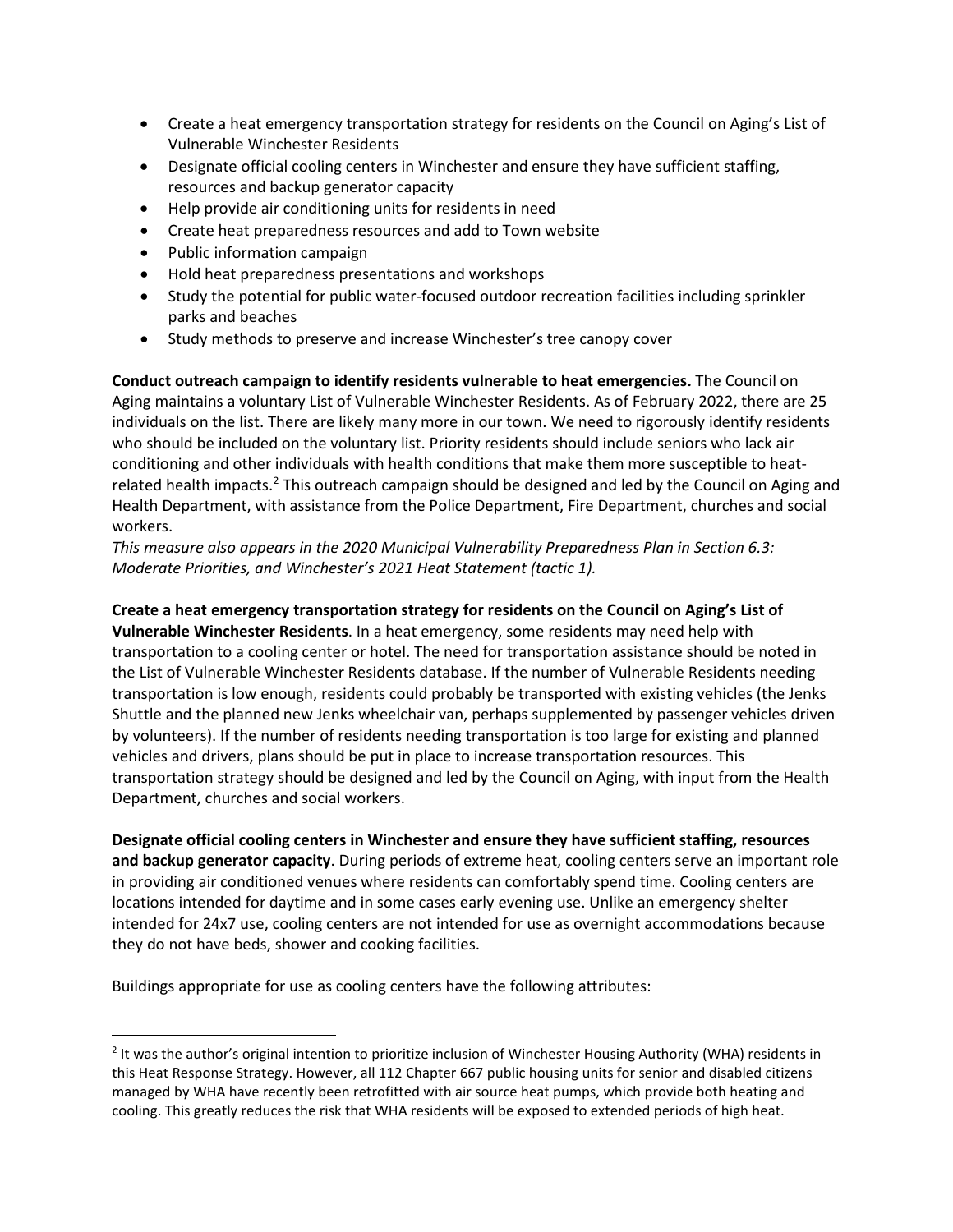- Create a heat emergency transportation strategy for residents on the Council on Aging's List of Vulnerable Winchester Residents
- Designate official cooling centers in Winchester and ensure they have sufficient staffing, resources and backup generator capacity
- Help provide air conditioning units for residents in need
- Create heat preparedness resources and add to Town website
- Public information campaign
- Hold heat preparedness presentations and workshops
- Study the potential for public water-focused outdoor recreation facilities including sprinkler parks and beaches
- Study methods to preserve and increase Winchester's tree canopy cover

**Conduct outreach campaign to identify residents vulnerable to heat emergencies.** The Council on Aging maintains a voluntary List of Vulnerable Winchester Residents. As of February 2022, there are 25 individuals on the list. There are likely many more in our town. We need to rigorously identify residents who should be included on the voluntary list. Priority residents should include seniors who lack air conditioning and other individuals with health conditions that make them more susceptible to heat-related health impacts.<sup>[2](#page-2-0)</sup> This outreach campaign should be designed and led by the Council on Aging and Health Department, with assistance from the Police Department, Fire Department, churches and social workers.

*This measure also appears in the 2020 Municipal Vulnerability Preparedness Plan in Section 6.3: Moderate Priorities, and Winchester's 2021 Heat Statement (tactic 1).*

#### **Create a heat emergency transportation strategy for residents on the Council on Aging's List of**

**Vulnerable Winchester Residents**. In a heat emergency, some residents may need help with transportation to a cooling center or hotel. The need for transportation assistance should be noted in the List of Vulnerable Winchester Residents database. If the number of Vulnerable Residents needing transportation is low enough, residents could probably be transported with existing vehicles (the Jenks Shuttle and the planned new Jenks wheelchair van, perhaps supplemented by passenger vehicles driven by volunteers). If the number of residents needing transportation is too large for existing and planned vehicles and drivers, plans should be put in place to increase transportation resources. This transportation strategy should be designed and led by the Council on Aging, with input from the Health Department, churches and social workers.

**Designate official cooling centers in Winchester and ensure they have sufficient staffing, resources and backup generator capacity**. During periods of extreme heat, cooling centers serve an important role in providing air conditioned venues where residents can comfortably spend time. Cooling centers are locations intended for daytime and in some cases early evening use. Unlike an emergency shelter intended for 24x7 use, cooling centers are not intended for use as overnight accommodations because they do not have beds, shower and cooking facilities.

Buildings appropriate for use as cooling centers have the following attributes:

<span id="page-2-0"></span><sup>&</sup>lt;sup>2</sup> It was the author's original intention to prioritize inclusion of Winchester Housing Authority (WHA) residents in this Heat Response Strategy. However, all 112 Chapter 667 public housing units for senior and disabled citizens managed by WHA have recently been retrofitted with air source heat pumps, which provide both heating and cooling. This greatly reduces the risk that WHA residents will be exposed to extended periods of high heat.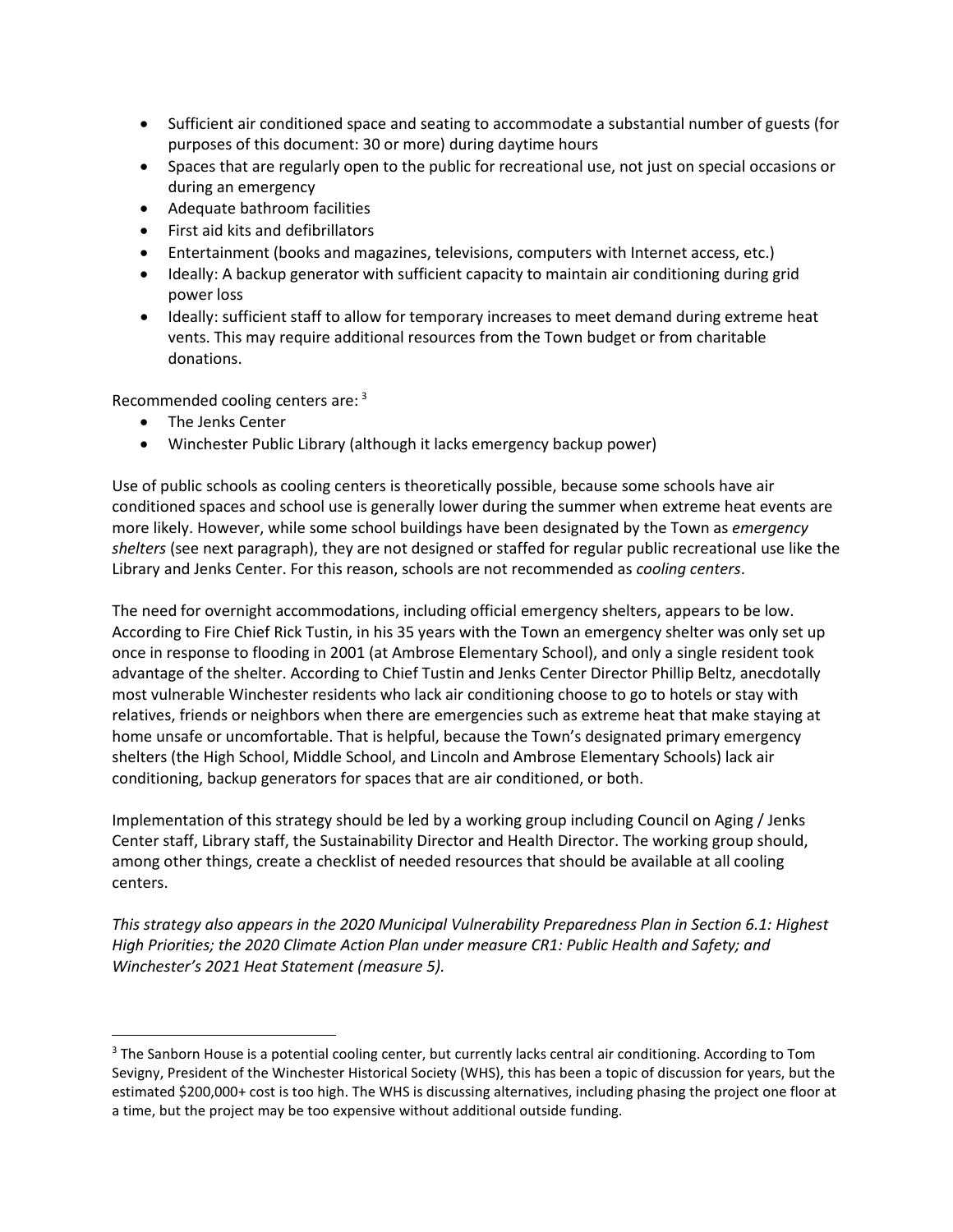- Sufficient air conditioned space and seating to accommodate a substantial number of guests (for purposes of this document: 30 or more) during daytime hours
- Spaces that are regularly open to the public for recreational use, not just on special occasions or during an emergency
- Adequate bathroom facilities
- First aid kits and defibrillators
- Entertainment (books and magazines, televisions, computers with Internet access, etc.)
- Ideally: A backup generator with sufficient capacity to maintain air conditioning during grid power loss
- Ideally: sufficient staff to allow for temporary increases to meet demand during extreme heat vents. This may require additional resources from the Town budget or from charitable donations.

Recommended cooling centers are: [3](#page-3-0)

- The Jenks Center
- Winchester Public Library (although it lacks emergency backup power)

Use of public schools as cooling centers is theoretically possible, because some schools have air conditioned spaces and school use is generally lower during the summer when extreme heat events are more likely. However, while some school buildings have been designated by the Town as *emergency shelters* (see next paragraph), they are not designed or staffed for regular public recreational use like the Library and Jenks Center. For this reason, schools are not recommended as *cooling centers*.

The need for overnight accommodations, including official emergency shelters, appears to be low. According to Fire Chief Rick Tustin, in his 35 years with the Town an emergency shelter was only set up once in response to flooding in 2001 (at Ambrose Elementary School), and only a single resident took advantage of the shelter. According to Chief Tustin and Jenks Center Director Phillip Beltz, anecdotally most vulnerable Winchester residents who lack air conditioning choose to go to hotels or stay with relatives, friends or neighbors when there are emergencies such as extreme heat that make staying at home unsafe or uncomfortable. That is helpful, because the Town's designated primary emergency shelters (the High School, Middle School, and Lincoln and Ambrose Elementary Schools) lack air conditioning, backup generators for spaces that are air conditioned, or both.

Implementation of this strategy should be led by a working group including Council on Aging / Jenks Center staff, Library staff, the Sustainability Director and Health Director. The working group should, among other things, create a checklist of needed resources that should be available at all cooling centers.

*This strategy also appears in the 2020 Municipal Vulnerability Preparedness Plan in Section 6.1: Highest High Priorities; the 2020 Climate Action Plan under measure CR1: Public Health and Safety; and Winchester's 2021 Heat Statement (measure 5).*

<span id="page-3-0"></span><sup>&</sup>lt;sup>3</sup> The Sanborn House is a potential cooling center, but currently lacks central air conditioning. According to Tom Sevigny, President of the Winchester Historical Society (WHS), this has been a topic of discussion for years, but the estimated \$200,000+ cost is too high. The WHS is discussing alternatives, including phasing the project one floor at a time, but the project may be too expensive without additional outside funding.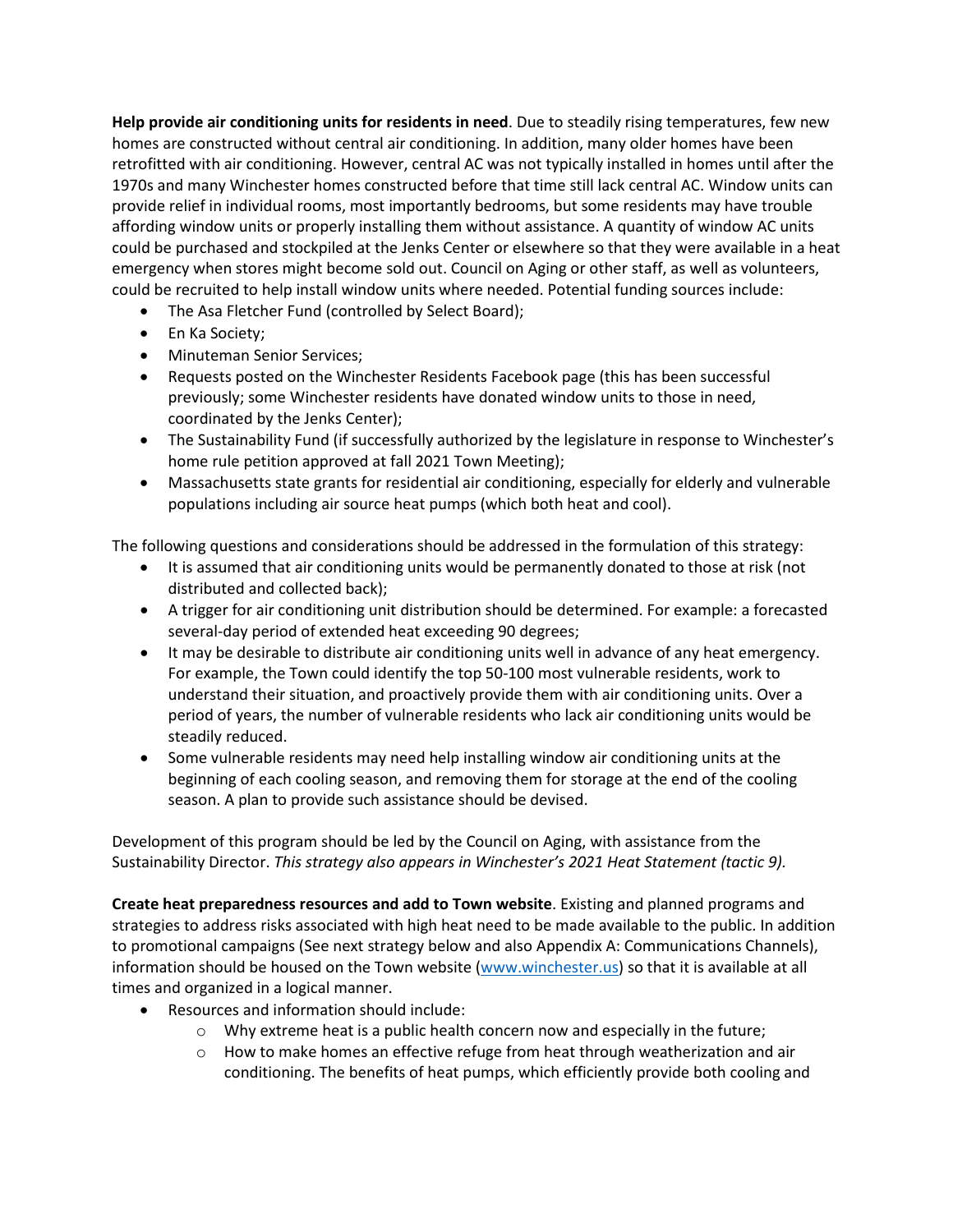**Help provide air conditioning units for residents in need**. Due to steadily rising temperatures, few new homes are constructed without central air conditioning. In addition, many older homes have been retrofitted with air conditioning. However, central AC was not typically installed in homes until after the 1970s and many Winchester homes constructed before that time still lack central AC. Window units can provide relief in individual rooms, most importantly bedrooms, but some residents may have trouble affording window units or properly installing them without assistance. A quantity of window AC units could be purchased and stockpiled at the Jenks Center or elsewhere so that they were available in a heat emergency when stores might become sold out. Council on Aging or other staff, as well as volunteers, could be recruited to help install window units where needed. Potential funding sources include:

- The Asa Fletcher Fund (controlled by Select Board);
- En Ka Society;
- Minuteman Senior Services;
- Requests posted on the Winchester Residents Facebook page (this has been successful previously; some Winchester residents have donated window units to those in need, coordinated by the Jenks Center);
- The Sustainability Fund (if successfully authorized by the legislature in response to Winchester's home rule petition approved at fall 2021 Town Meeting);
- Massachusetts state grants for residential air conditioning, especially for elderly and vulnerable populations including air source heat pumps (which both heat and cool).

The following questions and considerations should be addressed in the formulation of this strategy:

- It is assumed that air conditioning units would be permanently donated to those at risk (not distributed and collected back);
- A trigger for air conditioning unit distribution should be determined. For example: a forecasted several-day period of extended heat exceeding 90 degrees;
- It may be desirable to distribute air conditioning units well in advance of any heat emergency. For example, the Town could identify the top 50-100 most vulnerable residents, work to understand their situation, and proactively provide them with air conditioning units. Over a period of years, the number of vulnerable residents who lack air conditioning units would be steadily reduced.
- Some vulnerable residents may need help installing window air conditioning units at the beginning of each cooling season, and removing them for storage at the end of the cooling season. A plan to provide such assistance should be devised.

Development of this program should be led by the Council on Aging, with assistance from the Sustainability Director. *This strategy also appears in Winchester's 2021 Heat Statement (tactic 9).*

**Create heat preparedness resources and add to Town website**. Existing and planned programs and strategies to address risks associated with high heat need to be made available to the public. In addition to promotional campaigns (See next strategy below and also Appendix A: Communications Channels), information should be housed on the Town website [\(www.winchester.us\)](http://www.winchester.us/) so that it is available at all times and organized in a logical manner.

- Resources and information should include:
	- $\circ$  Why extreme heat is a public health concern now and especially in the future;
	- $\circ$  How to make homes an effective refuge from heat through weatherization and air conditioning. The benefits of heat pumps, which efficiently provide both cooling and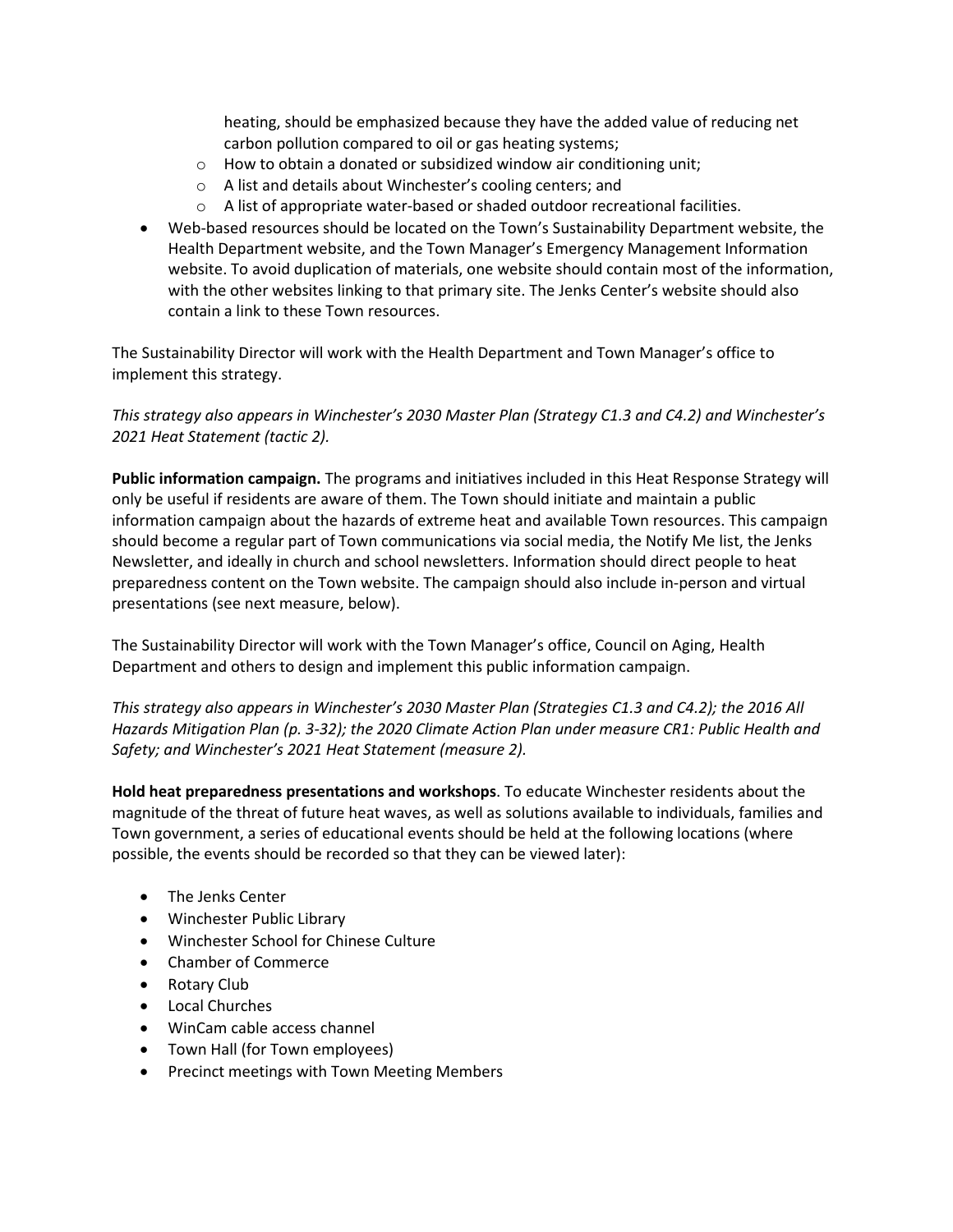heating, should be emphasized because they have the added value of reducing net carbon pollution compared to oil or gas heating systems;

- o How to obtain a donated or subsidized window air conditioning unit;
- o A list and details about Winchester's cooling centers; and
- o A list of appropriate water-based or shaded outdoor recreational facilities.
- Web-based resources should be located on the Town's Sustainability Department website, the Health Department website, and the Town Manager's Emergency Management Information website. To avoid duplication of materials, one website should contain most of the information, with the other websites linking to that primary site. The Jenks Center's website should also contain a link to these Town resources.

The Sustainability Director will work with the Health Department and Town Manager's office to implement this strategy.

*This strategy also appears in Winchester's 2030 Master Plan (Strategy C1.3 and C4.2) and Winchester's 2021 Heat Statement (tactic 2).*

**Public information campaign.** The programs and initiatives included in this Heat Response Strategy will only be useful if residents are aware of them. The Town should initiate and maintain a public information campaign about the hazards of extreme heat and available Town resources. This campaign should become a regular part of Town communications via social media, the Notify Me list, the Jenks Newsletter, and ideally in church and school newsletters. Information should direct people to heat preparedness content on the Town website. The campaign should also include in-person and virtual presentations (see next measure, below).

The Sustainability Director will work with the Town Manager's office, Council on Aging, Health Department and others to design and implement this public information campaign.

*This strategy also appears in Winchester's 2030 Master Plan (Strategies C1.3 and C4.2); the 2016 All Hazards Mitigation Plan (p. 3-32); the 2020 Climate Action Plan under measure CR1: Public Health and Safety; and Winchester's 2021 Heat Statement (measure 2).*

**Hold heat preparedness presentations and workshops**. To educate Winchester residents about the magnitude of the threat of future heat waves, as well as solutions available to individuals, families and Town government, a series of educational events should be held at the following locations (where possible, the events should be recorded so that they can be viewed later):

- The Jenks Center
- Winchester Public Library
- Winchester School for Chinese Culture
- Chamber of Commerce
- Rotary Club
- Local Churches
- WinCam cable access channel
- Town Hall (for Town employees)
- Precinct meetings with Town Meeting Members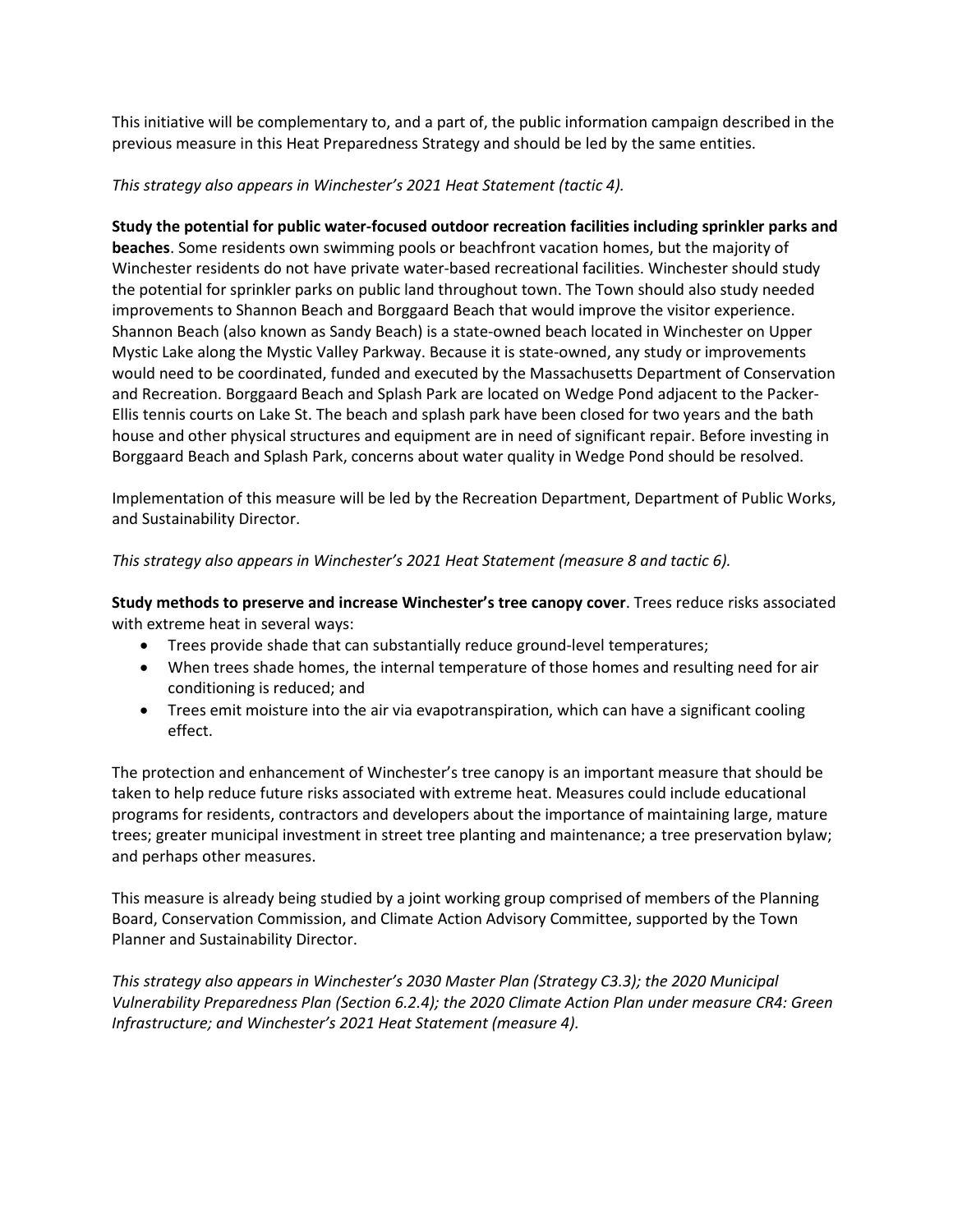This initiative will be complementary to, and a part of, the public information campaign described in the previous measure in this Heat Preparedness Strategy and should be led by the same entities.

#### *This strategy also appears in Winchester's 2021 Heat Statement (tactic 4).*

**Study the potential for public water-focused outdoor recreation facilities including sprinkler parks and beaches**. Some residents own swimming pools or beachfront vacation homes, but the majority of Winchester residents do not have private water-based recreational facilities. Winchester should study the potential for sprinkler parks on public land throughout town. The Town should also study needed improvements to Shannon Beach and Borggaard Beach that would improve the visitor experience. Shannon Beach (also known as Sandy Beach) is a state-owned beach located in Winchester on Upper Mystic Lake along the Mystic Valley Parkway. Because it is state-owned, any study or improvements would need to be coordinated, funded and executed by the Massachusetts Department of Conservation and Recreation. Borggaard Beach and Splash Park are located on Wedge Pond adjacent to the Packer-Ellis tennis courts on Lake St. The beach and splash park have been closed for two years and the bath house and other physical structures and equipment are in need of significant repair. Before investing in Borggaard Beach and Splash Park, concerns about water quality in Wedge Pond should be resolved.

Implementation of this measure will be led by the Recreation Department, Department of Public Works, and Sustainability Director.

#### *This strategy also appears in Winchester's 2021 Heat Statement (measure 8 and tactic 6).*

**Study methods to preserve and increase Winchester's tree canopy cover**. Trees reduce risks associated with extreme heat in several ways:

- Trees provide shade that can substantially reduce ground-level temperatures;
- When trees shade homes, the internal temperature of those homes and resulting need for air conditioning is reduced; and
- Trees emit moisture into the air via evapotranspiration, which can have a significant cooling effect.

The protection and enhancement of Winchester's tree canopy is an important measure that should be taken to help reduce future risks associated with extreme heat. Measures could include educational programs for residents, contractors and developers about the importance of maintaining large, mature trees; greater municipal investment in street tree planting and maintenance; a tree preservation bylaw; and perhaps other measures.

This measure is already being studied by a joint working group comprised of members of the Planning Board, Conservation Commission, and Climate Action Advisory Committee, supported by the Town Planner and Sustainability Director.

*This strategy also appears in Winchester's 2030 Master Plan (Strategy C3.3); the 2020 Municipal Vulnerability Preparedness Plan (Section 6.2.4); the 2020 Climate Action Plan under measure CR4: Green Infrastructure; and Winchester's 2021 Heat Statement (measure 4).*